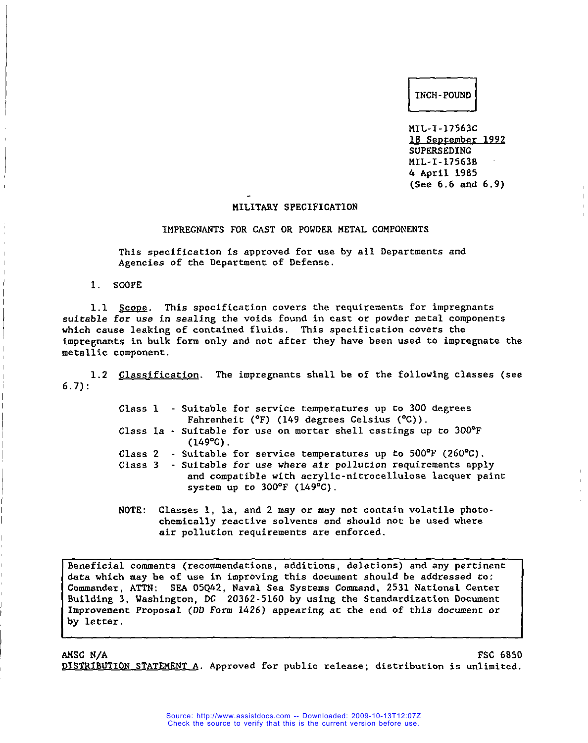# **c1**INCH -POUND

MIL-I-17563C 18 September 1992 SUPERSEDING MIL-I-17563B 4 April 1985 (See 6.6 and 6.9)

# 141LITARY SPECIFICATION

#### IMPREGNANTS FOR CAST OR POWDER METAL COMPONENTS

This specification is approved for use by all Departments and Agencies of the Department of Defense.

1. SCOPE

**L**

**1**

1.1 Scope. This specification covers the requirements for impregnants suitable for use in sealing the voids found in cast or powder metal components which cause leaking of contained fluids. This specification covers the impregnants in bulk form only and not after they have been used to impregnate the metallic component.

1.2 Classification. The impregnants shall be of the following classes (see 6.7):

|  | Class 1 - Suitable for service temperatures up to 300 degrees<br>Fahrenheit ( $^{\circ}$ F) (149 degrees Celsius ( $^{\circ}$ C)).                                   |
|--|----------------------------------------------------------------------------------------------------------------------------------------------------------------------|
|  | Class 1a $\cdot$ Suitable for use on mortar shell castings up to 300 $^{\circ}$ F<br>$(149^{\circ}C)$ .                                                              |
|  | Class 2 - Suitable for service temperatures up to $500^{\circ}$ F (260 $^{\circ}$ C).                                                                                |
|  | Class 3 - Suitable for use where air pollution requirements apply<br>and compatible with acrylic-nitrocellulose lacquer paint<br>system up to $300^{\circ}$ (149°C). |

NOTE: Classes 1, 1a, and 2 may or may not contain volatile photochemically reactive solvents and should not be used where air pollution requirements are enforced.

Beneficial comments (recommendations, additions, deletions) and any pertinent data which may be of use in improving this document should be addressed co: Commander, ATTN: SEA 05Q42, Naval Sea Systems Command, 2531 National Center Building 3, Washington, DC 20362-5160 by using the Standardization Document Improvement Proposal (DD Form 1426) appearing at che end of this documenc or by letter.

AMSC N/A FSC 6850 DISTRIBUTION STATEMENT A. Approved for public release; distribution is unlimited.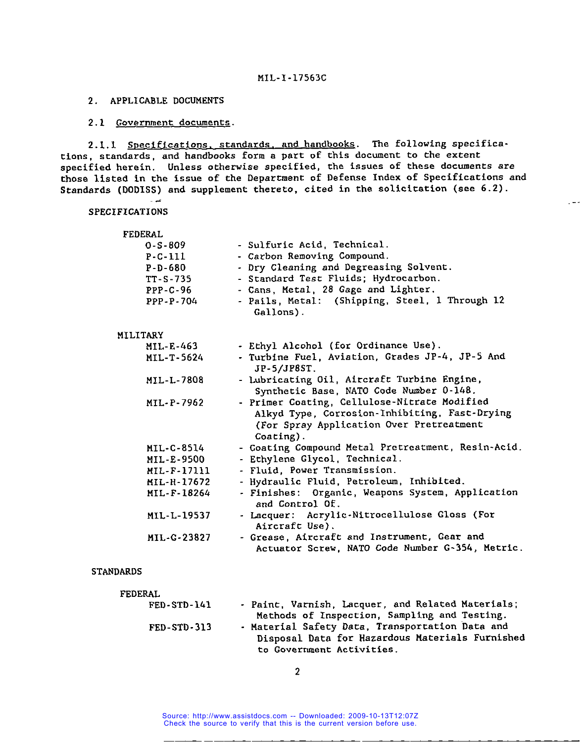# 2. APPLICABLE DOCUMENTS

اعبي ب

# 2.1 Government documents.

2.1.1 Specifications, standards, and handbooks. The following specifications, standards, and handbooks form a part of this document to the extent specified herein. Unless otherwise specified, the issues of these documents are those listed in the issue of the Department of Defense Index of Specifications and Standards (DODISS) and supplement thereto, cited in the solicitation (see 6.2)

 $\frac{1}{2}$ 

## SPECIFICATIONS

| <b>FEDERAL</b> |                                                                                                                                                           |
|----------------|-----------------------------------------------------------------------------------------------------------------------------------------------------------|
| $0 - S - 809$  | - Sulfuric Acid, Technical.                                                                                                                               |
| $P - C - 111$  | - Carbon Removing Compound.                                                                                                                               |
| P-D-680        | - Dry Cleaning and Degreasing Solvent.                                                                                                                    |
| TT-S-735       | - Standard Test Fluids; Hydrocarbon.                                                                                                                      |
| $PPP-C-96$     | - Cans, Metal, 28 Gage and Lighter.                                                                                                                       |
| PPP-P-704      | - Pails, Metal: (Shipping, Steel, 1 Through 12<br>Gallons).                                                                                               |
| MILITARY       |                                                                                                                                                           |
| MIL-E-463      | - Ethyl Alcohol (for Ordinance Use).                                                                                                                      |
| MIL-T-5624     | - Turbine Fuel, Aviation, Grades JP-4, JP-5 And<br>JP-5/JP8ST.                                                                                            |
| MIL-L-7808     | - Lubricating Oil, Aircraft Turbine Engine,<br>Synthetic Base, NATO Code Number 0-148.                                                                    |
| MIL-P-7962     | - Primer Coating, Cellulose-Nitrate Modified<br>Alkyd Type, Corrosion-Inhibiting, Fast-Drying<br>(For Spray Application Over Pretreatment<br>$Coating$ ). |
| MIL-C-8514     | - Coating Compound Metal Pretreatment, Resin-Acid.                                                                                                        |
| MIL-E-9500     | - Ethylene Glycol, Technical.                                                                                                                             |
| MIL-F-17111    | - Fluid, Power Transmission.                                                                                                                              |
| MIL-H-17672    | - Hydraulic Fluid, Petroleum, Inhibited.                                                                                                                  |
| MIL-F-18264    | - Finishes: Organic, Weapons System, Application<br>and Control Of.                                                                                       |
| MIL-L-19537    | - Lacquer: Acrylic-Nitrocellulose Gloss (For<br>Aircraft Use).                                                                                            |
| MIL-G-23827    | - Grease, Aircraft and Instrument, Gear and<br>Actuator Screw, NATO Code Number G-354, Metric.                                                            |

## STANDARDS

| <b>FEDERAL</b>    |                                                   |
|-------------------|---------------------------------------------------|
| $FED-STD-141$     | - Paint, Varnish, Lacquer, and Related Materials; |
|                   | Methods of Inspection, Sampling and Testing.      |
| $FED - STD - 313$ | - Material Safety Data, Transportation Data and   |
|                   | Disposal Data for Hazardous Materials Furnished   |
|                   | to Government Activities.                         |

2

Source: http://www.assistdocs.com -- Downloaded: 2009-10-13T12:07Z Check the source to verify that this is the current version before use.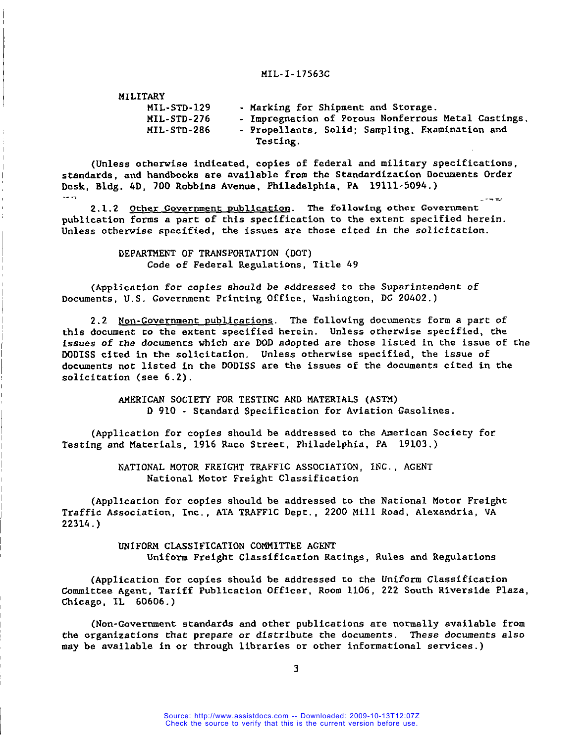|  | <b>MILITARY</b> |
|--|-----------------|
|  |                 |

 $\mathbf{I}$ 

| MIL-STD-129 | - Marking for Shipment and Storage.                 |
|-------------|-----------------------------------------------------|
| MIL-STD-276 | - Impregnation of Porous Nonferrous Metal Castings. |
| MIL-STD-286 | - Propellants, Solid; Sampling, Examination and     |
|             | Testing.                                            |

(Unless otherwise indicated, copies of federal and military specifications, standards, and handbooks are available from the Standardization Documents Order Desk, Bldg. 4D, 700 Robbins Avenue, Philadelphia, PA 19111-5094.) المرادية

2.1.2 Other Government publication. The following other Government publication forms a part of this specification to the extent specified herein. Unless otherwise specified, the issues are those cited in the solicitation.

> DEPARTMENT OF TRANSPORTATION (DOT) Code of Federal Regulations, Title 49

(Application for copies should **be** addressed to the Superintendent of Documents, U.S. Government Printing Office, Washington, DC 20402. )

2.2 Non-Government publications. The following documents form a part of this document to the extent specified herein. Unless otherwise specified, the issues of the documents which are DOD adopted are those listed in the issue of the DODISS cited in the solicitation. Unless otherwise specified, the issue of documents not listed in the DODISS are the issues of the documents cited in the solicitation (see 6.2).

> AMERICAN SOCIETY FOR TESTING AND MATERIALS (ASTM) D 910 - Standard Specification for Aviation Gasolines.

(Application for copies should be addressed to the American Society for Testing and Materials, 1916 Race Street, Philadelphia, PA 19103. )

> NATIONAL MOTOR FREIGHT TRAFFIC ASSOCIATION, INC., AGENT National Motor Freight Classification

(Application for copies should be addressed to che National Motor Freight Traffic Association, Inc., ATA TRAFFIC Dept., 2200 Mill Road, Alexandria, VA 22314. )

> UNIFORM CLASSIFICATION COMMITTEE AGENT Uniform Freight Classification Racinga, Rules and Regulations

(Application for copies should be addresaed co the Uniform Classification Committee Agent. Tariff Publication Officer. Room 1106, 222 South Riverside Plaza, Chicago, IL 60606.)

(Non-Government standards and other publications are normally available from the organizations that prepare or distribute the documents. These documents also may be available in or through libraries or other informational services. )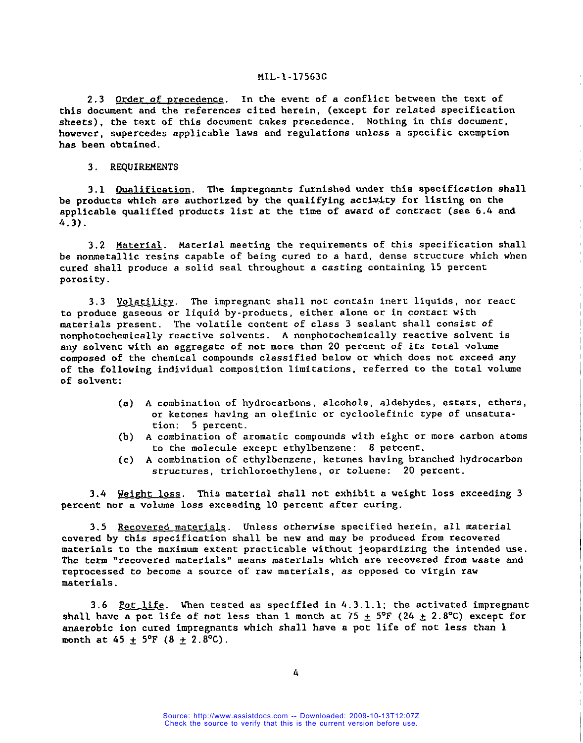2.3 Order of precedence. In the event of a conflict between the text of this document and the references cited herein, (except for related specification sheets), the text of this document takes precedence. Nothing in this document, however, supercedes applicable laws and regulations unless a specific exemption has been obtained.

3. REQUIREMENTS

3.1 Qualification. The impregnants furnished under this specification shall be products which are authorized by the qualifying activity for listing on the applicable qualified products list at the time of award of contract (see 6.4 and 4.3).

3.2 Material. Material meeting the requirements of this specification shall be nonmetallic resins capable of being cured to a hard, dense structure which when cured shall produce a solid seal throughout a casting containing 15 percent porosity.

3.3 Volatility. The impregnant shall not contain inert liquids, nor react to produce gaseous or liquid by-products, either alone or in contact with materials present. The volatile content of class 3 sealant shall consist of nonphotochemically reactive solvents. A nonphotochemically reactive solvent is any solvent with an aggregate of not more than 20 percent of its total volume composed of the chemical compounds classified below or which does not exceed any of the following individual composition limitations, referred to the total volume of solvent:

- (a) A combination of hydrocarbons, alcohols, aldehydes, esters, ethers, or ketones having an olefinic or cycloolefinic type of unsaturation: 5 percent.
- (b) A combination of aromatic compounds with eight or more carbon atoms to the molecule except ethylbenzene: 8 percent.
- (c) A combination of ethylbenzene, ketones having branched hydrocarbon structures, trichloroethylene, or toluene: 20 percent.

3.4 Weight loss. This material shall not exhibit a weight loss exceeding 3 percent nor a volume loss exceeding 10 percent after curing.

3.5 Recovered materials. Unless otherwise specified herein, all material covered by this specification shall be new and may be produced from recovered materials to the maximum extent practicable without jeopardizing the intended use. The term "recovered materials" means materials which are recovered from waste and reprocessed to become a source of raw materials, as opposed to virgin raw materials.

3.6 Pot life. When tested as specified in  $4.3.1.1$ ; the activated impregnant shall have a pot life of not less than 1 month at  $75 \pm 5$ °F (24  $\pm$  2.8°C) except for anaerobic ion cured impregnants which shall have a pot life of not less than 1 month at  $45 \pm 5^{\circ}F (8 \pm 2.8^{\circ}C)$ .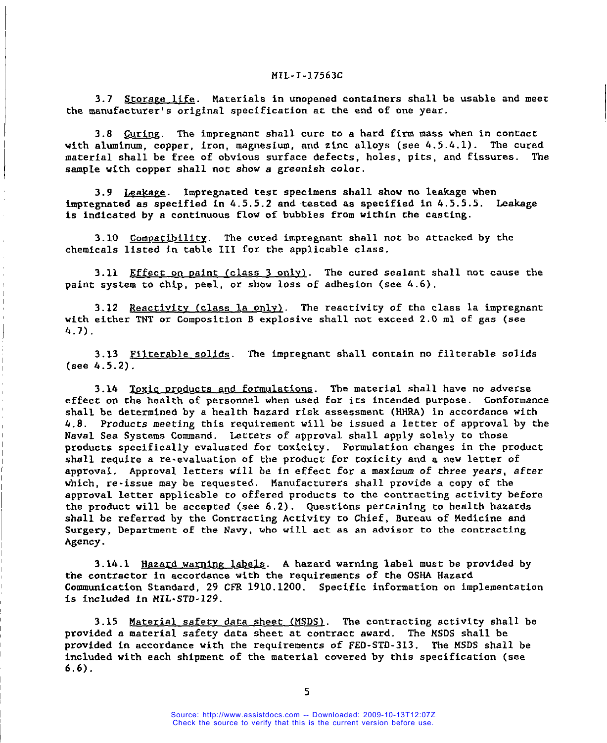3.7 Storage life. Materials in unopened containers shall be usable and meet the manufacturer's original specification at the end of one year. with aluminum, copyright aluminum, and  $z$ 

3.8 Curing. The impregnant shall cure to a hard firm mass when in contact with aluminum, copper, iron, magnesium, and zinc alloys (see 4.5.4.1). The cured material shall be free of obvious surface defects, holes, pits, and fissures. The sample with copper shall not show a greenish color. impregnated at specified in  $\alpha$  . Specified as specified in  $\alpha$ .

3.9 Leakage. Impregnated test specimens shall show no leakage when impregnated as specified in  $4.5.5.2$  and tested as specified in  $4.5.5.5$ . Leakage is indicated by a continuous flow of bubbles from within the casting.  $\alpha$  chemicals  $\alpha$  is the applicable class in table class  $\alpha$ 

3.10 Compatibility. The cured impregnant shall not be attacked by the chemicals listed in table III for the applicable class. paint **system to** chip, peel, or show loss of adhesion (see 4.6) .

3.11 <u>Effect on paint (class 3 only</u>). The cured sealant shall not cause the paint system to chip, peel, or show loss of adhesion (see 4.6). with either TNT or  $\mathbb{R}^p$  explosive shall not exceed 2.0 ml of gas (see exceeding 2.0 ml of gas (see exceeding)

 $3.13$  Filterable solids. The impregnant shall contain no filterable solid shall contain no filterable solid solid solid solid solid solid solid solid solid solid solid solid solid solid solid solid solid solid solid soli (see 4.5.2).

3.13 Filterable solids. The impregnant shall contain no filterable solids (see  $4.5.2$ ).  $\epsilon$  on the health of personnel when used for its intended purpose. Conformance purpose. Conformalize  $\epsilon$ 

3.14 Toxic products and formulations. The material shall have no adverse effect on the health of personnel when used for its intended purpose. Conformance shall be determined by a health hazard risk assessment (HHRA) in accordance with 4.8. Products meeting this requirement will be issued a letter of approval by the Naval Sea Systems Command. Letters of approval shall apply solely to those products specifically evaluated for toxicity. Formulation changes in the product shall require a re-evaluation of the product for toxicity and a new letter of approval. Approval letters will be in effect for a maximum of three years, after which, re-issue may be requested. Manufacturers shall provide a copy of the approval letter applicable to offered products to the contracting activity before the product will be accepted (see 6.2). Questions pertaining to health hazards shall be referred by the Contracting Activity to Chief, Bureau of Medicine and Surgery, Department of the Navy, who will act as an advisor to the contracting Agency.  $t_{\rm s}$  in accordance with the requirements of the  $\sim$ 

3.14.1 Hazard warning labels. A hazard warning label must be provided by the contractor in accordance with the requirements of the OSHA Hazard Communication Standard, 29 CFR 1910.1200. Specific information on implementation is included in MIL-STD-129.

3.15 Material safety data sheet (MSDS). The contracting activity shall be provided a material safety data sheet at contract award. The MSDS shall be provided in accordance with the requirements of FED-STD-313. The MSDS shall be  $6.6$ ).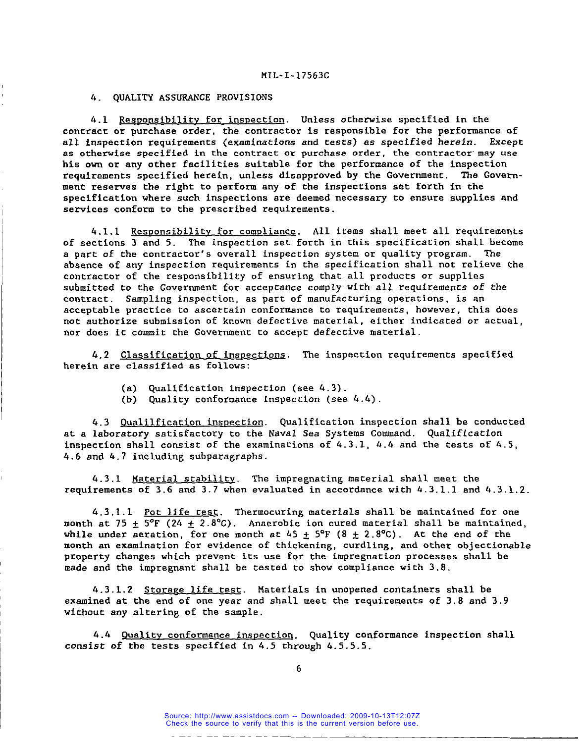# 4. QUALITY ASSURANCE PROVISIONS

4.1 Responsibility for inspection. Unless otherwise specified in the contract or purchase order, the contractor is responsible for the performance of all inspection requirements (examinations and tests) as specified herein. Except as otherwise specified in the contract or purchase order, the contractor' may use his own or any other facilities suitable for the performance of the inspection<br>requirements specified herein, unless disapproved by the Government. The Governrequirements specified herein, unless disapproved by the Government. ment reserves the right to perform any of the inspections set forth in the specification where such inspections are deemed necessary to ensure supplies and services conform to the prescribed requirements.

4.1.1 Responsibility for compliance. All items shall meet all requirements of sections 3 and 5. The inspection set forth in this specification shall become a part of the contractor's overall inspection system or quality program. The absence of any inspection requirements in the specification shall not relieve the contractor of the responsibility of ensuring that all products or supplies submitted to the Government for acceptance comply with all requirements **of the** contract. Sampling inspection, as part of manufacturing operations, is an acceptable practice to ascertain conformance to requirements, however, this does not authorize submission of known defective material, either indicated or actual, nor does it commit the Government to accept defective material.

4.2 Classification of inspections. The inspection requirements specified herein are classified as follows:

(a) Qualification inspection (see 4.3)

I

(b) Quality conformance inspection (see  $4.4$ ).

4.3 <u>Qualilfication inspection</u>. Qualification inspection shall be conducted at a laboratory satisfactory to the Naval Sea Systems Command. Qualification inspection shall consist of the examinations of  $4.3.1$ ,  $4.4$  and the tests of  $4.5\,,$ 4.6 and 4.7 including subparagraphs.

4.3.1 Material stabilitv. The impregnating material shall meet the requirements of 3.6 and 3.7 when evaluated in accordance with 4.3.1.1 and 4.3.1.2.

4.3 .1.1 Pot life test. Thermocuring materials shall be maintained for one month at 75  $\pm$  5°F (24  $\pm$  2.8°C). Anaerobic ion cured material shall be maintained, while under aeration, for one month at  $45 \pm 5$ °F (8  $\pm$  2.8°C). At the end of the month an examination for evidence of thickening, curdling, and other objectionable property changes which prevent its use for the impregnation processes shall be made and the impregnant shall be tested to show compliance with 3.8.

4.3.1.2 Storage life test. Materials in unopened containers shall be examined at the end of one year and shall meet the requirements of 3.8 and 3.9 without any altering of the sample.

4.4 Quality conformance inspection. Quality conformance inspection shall consist of the tests specified in 4.5 through 4.5.5.5.

Source: http://www.assistdocs.com -- Downloaded: 2009-10-13T12:07Z Check the source to verify that this is the current version before use.

ومسامحها والمستحدث المراجعة والمنافذة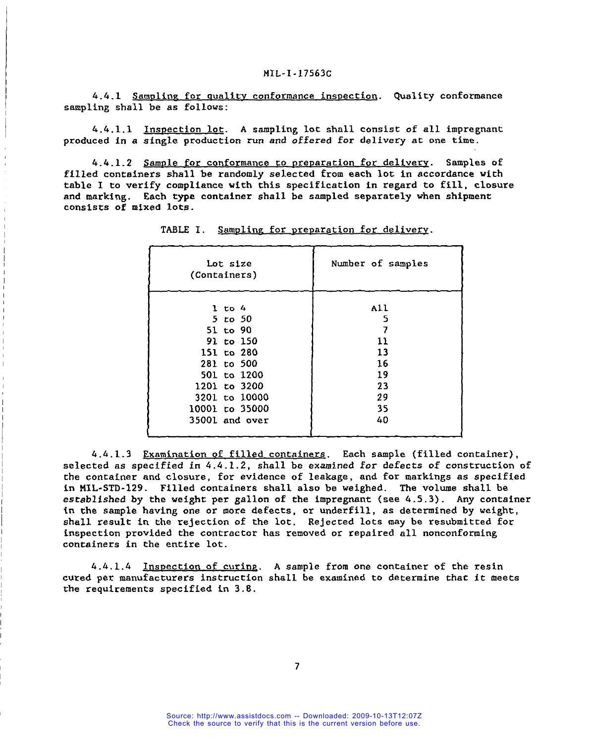#### NIL- I-17563c

4.4.1 Sampling for quality conformance inspection. Quality conformance sampling shall be as follows:

4.4.1.1 Inspection lot. A sampling **lot** shall consist of all impregnant produced in a single production run and offered for delivery at one time.

4.4.1.2 Sample for conformance to preparation for delivery. Samples of filled containers shall be randomly selected from each lot in accordance with table I to verify compliance with this specification in regard to fill, closure and marking. Each type container shall be sampled separately when shipment consists of mixed lots.

| Lot size<br>(Containers) | Number of samples |
|--------------------------|-------------------|
| $1$ to $4$               | All               |
| 5 to 50                  | 5                 |
| 51 to 90                 | 7                 |
| 91 to 150                | 11                |
| 151 to 280               | 13                |
| 281 to 500               | 16                |
| 501 to 1200              | 19                |
| 1201 to 3200             | 23                |
| 3201 to 10000            | 29                |
| 10001 to 35000           | 35                |
| 35001 and over           | 40                |

1

TABLE I. Sampling for preparation for delivery.

4.4.1.3 Examination of filled containers. Each sample (filled container) , selected as specified in 4.4.1.2, shall be examined for defects of construction of the container and closure, for evidence of leakage, and for markings as specified in MIL-STD-129. Filled containers shall also be weighed. The volume shall be established by the weight per gallon of the impregnant (see 4.5.3). Any container in the ssmple having one or more defects, or underfill, as determined by weight, shall result in the rejection of the lot. Rejected lots may be resubmitted for inspection provided the contractor has removed or repaired all nonconforming containers in the entire lot.

4.4. 1.4 Inspection of curing. A sample from one container of the resin cured per manufacturers instruction shall be examined to determine that it meets the requirements specified in 3.8.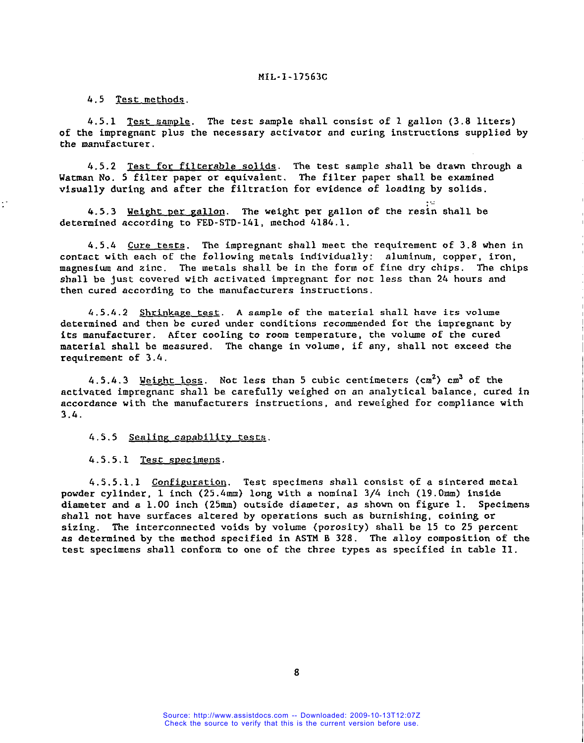4.5 Test methods.

4.5.1 Test sample. The test sample shall consist of 1 gallon (3.8 liters) of the impregnant plus the necessary activator and curing instructions supplied by the manufacturer.

4.5.2 <u>Test for filterable solids</u>. The test sample shall be drawn through a Watman No. 5 filter paper or equivalent. The filter paper shall be examined visually during and after the filtration for evidence of loading by solids.

. ..

4.5.3 Weight per gallon. The weight per gallon of the resin shall be determined according to FED-STD-141, method 4184.1.

4 .5.4 Cure tests. The impregnant shall meet the requirement of 3.8 when in contact with each of the following metals individually: aluminum, copper, iron, magnesium and zinc. The metals shall be in the form of fine dry chips. The chips shall be just covered with activated impregnant for not less than 24 hours and then cured according to the manufacturers instructions.

4.5.4.2 Shrinkage test. A sample of the material shall have its volume determined and then be cured under conditions recommended for the impregnant by its manufacturer. After cooling to room temperature, the volume of the cured material shall be measured. The change in volume, if any, shall not exceed the requirement of 3.4.

4.5.4.3 Weight loss. Not less than 5 cubic centimeters  $(cm^2)$  cm<sup>3</sup> of the activated impregnant shall be carefully weighed on an analytical balance, cured in accordance with the manufacturers instructions, and reweighed for compliance with 3.4.

4.5.5 Sealing capability tests.

4.5.5.1 Test specimens.

4.5.5.1.1 Configuration. Test specimens shall consist of a sintered metal powder cylinder, 1 inch (25.4mm) long with a nominal 3/4 inch (19.Omm) inside diameter and a 1.00 inch (25mm) outside diameter, as shown on figure 1. Specimens shall not have surfaces altered by operations such as burnishing, coining or sizing. The interconnected voids by volume (porosity) shall be 15 to 25 percent as determined by the method specified in ASTM B 328. The alloy composition of the test specimens shall conform to one of the three types as specified in table 11.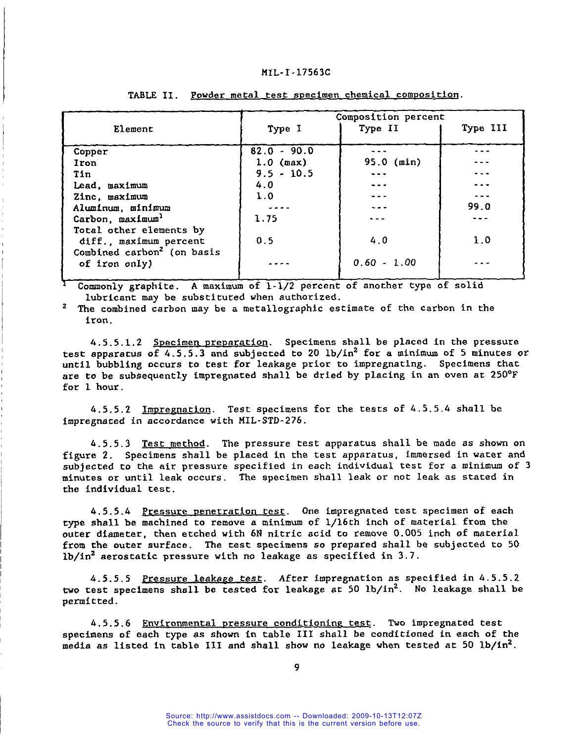|                                        |               | Composition percent |          |
|----------------------------------------|---------------|---------------------|----------|
| Element                                | Type I        | Type II             | Type III |
|                                        |               |                     |          |
| Copper                                 | $82.0 - 90.0$ |                     |          |
| Iron                                   | $1.0$ (max)   | 95.0 (min)          |          |
| Tin                                    | $9.5 - 10.5$  |                     |          |
| Lead, maximum                          | 4.0           | ---                 |          |
| Zinc, maximum                          | 1.0           |                     |          |
| Aluminum, minimum                      | بالمامات      | $\sim$ $ -$         | 99.0     |
| Carbon, maximum <sup>1</sup>           | 1.75          |                     |          |
| Total other elements by                |               |                     |          |
| diff., maximum percent                 | 0.5           | 4.0                 | 1.0      |
| Combined carbon <sup>2</sup> (on basis |               |                     |          |
| of iron only)                          |               | $0.60 - 1.00$       |          |
|                                        |               |                     |          |

# TABLE II. Powder metal test specimen chemical composition.

Commonly graphite. A maximum of 1-1/2 percent of another type of solid lubricant may be substituted when authorized.

2 The combined carbon may be a metallographic estimate of the carbon in the iron.

4.5.5.1.2 Specimen preparation. Specimens shall be placed in the pressure test apparatus of  $4.5.5.3$  and subjected to 20 lb/in<sup>2</sup> for a minimum of 5 minutes or until bubbling occurs to **test** for leakage prior to impregnating. Specimens that are to be subsequently impregnated shall be dried by placing in an oven at 250°F for 1 hour.

k.5.5.2 Impregnation. Test specimens for the tests of 4.5.5.4 shall be impregnated in accordance with MIL-STD-276.

4.5.5.3 Test method. The pressure test apparatus shall be made as shown on figure 2. Specimens shall be placed in the test apparatus, immersed in water and subjected to the air pressure specified in each individual test for a minimum of 3 minutes or until leak occurs. The specimen shall leak or not leak as stated in the individual test.

4.5.5.4 Pressure penetration test. One impregnated test specimen of each type shall be machined to remove a minimum of l/16th inch of material from the outer diameter, then etched with 6N nitric acid to remove 0.005 inch of material from the outer surface. The test specimens so prepared shall be subjected to 50 lb/in<sup>2</sup> aerostatic pressure with no leakage as specified in  $3.7$ .

.4.5.5.5 **Pressure** leakape test. **After** impregnation as specified in 4.5.5.2 two test specimens shall be tested for leakage ac 50 lb/in2. No leakage shall be permitted.

4.5.5.6 Environmental pressure conditioning test</u>. Two impregnated test specimens of each type as shown in table III shall be conditioned in each of the media as listed in table III and shall show no leakage when tested at 50  $1b/in^2$ .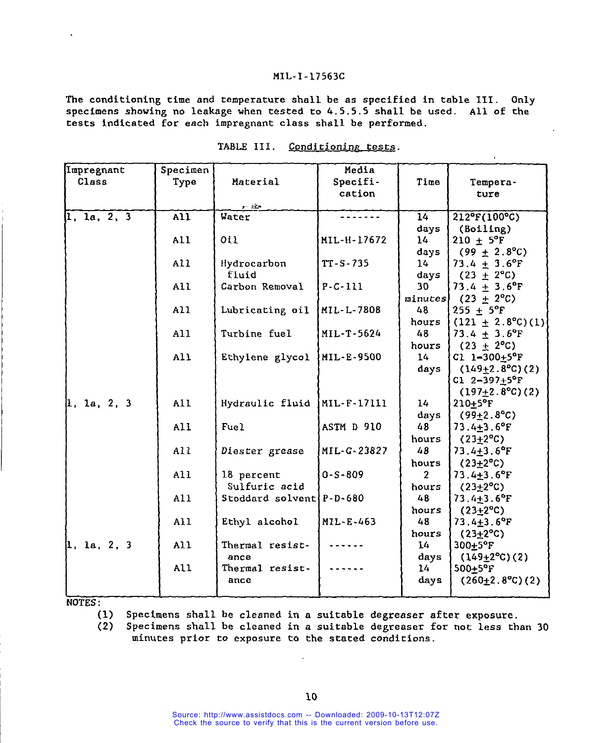# The conditioning time and temperature shall be as specified in table III. Only specimens showing no leakage when tested to 4.5.5.5 shall be used. All of the

The conditioning time and temperature shall be as specified in table III. Only specimens showing no leakage when tested to  $4.5.5.5$  shall be used. All of the tests indicated for each impregnant class shall be performed.

| Impregnant  | Specimen         |                            | Media         |                 |                                |
|-------------|------------------|----------------------------|---------------|-----------------|--------------------------------|
| Class       | Type             | Material                   | Specifi-      | Time            | Tempera-                       |
|             |                  |                            | cation        |                 | ture                           |
|             |                  | $\bullet$ . In the         |               |                 |                                |
| 1, 1a, 2, 3 | $\overline{AI1}$ | <b>Water</b>               |               | $\overline{14}$ | $212^{\circ}F(100^{\circ}C)$   |
|             |                  |                            |               | days            | (Boiling)                      |
|             | All              | O11                        | MIL-H-17672   | 14 <sub>1</sub> | 210 $\pm$ 5°F                  |
|             |                  |                            |               | days            | $(99 \pm 2.8^{\circ}\text{C})$ |
|             | A11              | Hydrocarbon                | $TT-S-735$    | 14              | $73.4 \pm 3.6$ °F              |
|             |                  | fluid                      |               | days            | $(23 \pm 2^{\circ}C)$          |
|             | All              | Carbon Removal             | $P - C - 111$ | 30              | $73.4 + 3.6$ °F                |
|             |                  |                            |               | minutes         | $(23 \pm 2^{\circ}C)$          |
|             | A11              | Lubricating oil            | MIL-L-7808    | 48              | $255 + 5^{\circ}F$             |
|             |                  |                            |               | hours           | $(121 \pm 2.8^{\circ}C)(1)$    |
|             | A11              | Turbine fuel               | MIL-T-5624    | 48              | 73.4 $\pm$ 3.6°F               |
|             |                  |                            |               | hours           | $(23 + 2^{\circ}C)$            |
|             | A11              | Ethylene glycol            | MIL-E-9500    | 14              | C1 $1-300+5$ °F                |
|             |                  |                            |               | days            | $(149+2.8°C)(2)$               |
|             |                  |                            |               |                 | $C1 2 - 397 + 5°F$             |
|             |                  |                            |               |                 | $(197+2.8°C)(2)$               |
| 1, 1a, 2, 3 | All              | Hydraulic fluid            | MIL-F-17111   | 14 <sub>1</sub> | $210+5$ °F                     |
|             |                  |                            |               | days            | $(99+2.8^{\circ}C)$            |
|             | All              | Fuel                       | ASTM D 910    | 48              | $73.4 + 3.6$ °F                |
|             |                  |                            |               | hours           | $(23+2^{\circ}C)$              |
|             | A11              | Diester grease             | MIL-G-23827   | 48              | $73.4 + 3.6$ °F                |
|             |                  |                            |               | hours           | $(23+2^{\circ}C)$              |
|             | All              | 18 percent                 | $0 - S - 809$ | $\mathbf{2}$    | $73.4 + 3.6$ °F                |
|             |                  | Sulfuric acid              |               | hours           | $(23+2^{\circ}C)$              |
|             | A11              | Stoddard solvent $P-D-680$ |               | 48              | $73.4 + 3.6$ °F                |
|             |                  |                            |               | hours           | $(23+2^{\circ}C)$              |
|             | A11              | Ethyl alcohol              | MIL-E-463     | 48              | $73.4 + 3.6$ °F                |
|             |                  |                            |               | hours           | $(23+2^{\circ}C)$              |
| 1, 1a, 2, 3 | A11              | Thermal resist-            | ------        | 14              | $300+5$ °F                     |
|             |                  | ance                       |               | days            | $(149+2°C)(2)$                 |
|             | All              | Thermal resist-            |               | 14 <sub>1</sub> | $500+5$ °F                     |
|             |                  | ance                       |               | days            | $(260 \pm 2.8$ °C) $(2)$       |
|             |                  |                            |               |                 |                                |
|             |                  |                            |               |                 |                                |

| TABLE III. | Conditioning tests. |
|------------|---------------------|
|            |                     |

 $\overline{\phantom{a}}$ 

 $(1)$ Specimens shall be cleaned in a suitable degreaser after exposure.

 $(2)$ Specimens shall be cleaned in a suitable degreaser for not less than 30 minutes prior to exposure to the stated conditions.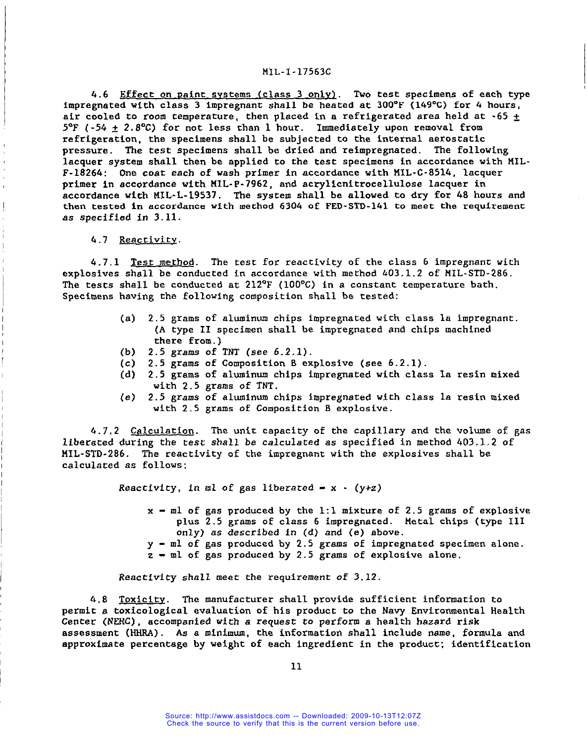4.6 Effect on paint systems (class 3 only). Two test specimens of each type impregnated with class 3 impregnant shall be heated at 300"F (149"C) for 4 hours, air cooled to room temperature, then placed in a refrigerated area held at  $-65 +$  $5^{\circ}F$  (-54 + 2.8°C) for not less than 1 hour. Immediately upon removal from refrigeration, the specimens shall be subjected to the internal aerostatic pressure. The test specimens shall be dried and reimpregnated. The following lacquer system shall then be applied to the test specimens in accordance with MIL-F-1826h: One coac each of wash **primer** in accordance with MIL-C-8514, lacquer primer in accordance with MIL-P-7962, and acrylicnitrocellulose lacquer in accordance with MIL-L-19537. The system shall be allowed to dry for 48 hours and then tested in accordance with method 6304 of FED-STD-141 to meet the requirement as specified in 3.11.

#### 4.7 Reactivity.

I

I

! I

I

4.7.1 <u>Test method</u>. The test for reactivity of the class 6 impregnant with explosives shall be conducted in accordance with method 403. 1.2 of MIL-STD-286. The tests shall be conducted at  $212^{\circ}$ F (100°C) in a constant temperature bath Specimens having the following composition shall be tested: "

- (a) 2.5 grams of aluminum chips impregnated with class la impregnant. (A type II specimen shall be impregnated and chips machined there from.)
- (b)  $2.5$  grams of TNT (see  $6.2.1$ ).
- (c) 2.5 grams of Composition B explosive (see 6.2.1).
- (d) 2.5 grams of aluminum chips impregnated with class la resin mixed with 2.5 grams of TNT.
- (e) 2.5 grams of aluminum chips **impregnated** with class la resin mixed with 2.5 grams of Composition B explosive.

4.7.2 Calculation. The unit capacity of the capillary and the volume of gas liberated during the **test shall** be calculated as specified in method 403.1,2 of MIL-STD-286. The reactivity of the impregnant with the explosives shall be calculated as follows:

Reactivity, in ml of gas liberated  $= x - (y+z)$ 

- $x m$  of gas produced by the 1:1 mixture of 2.5 grams of explosive plus 2.5 grams of class 6 impregnated. Metal chips (type 111 only) as described in **(d)** and (e) above.
- $y m$ l of gas produced by 2.5 grams of impregnated specimen alone.
- $z m$ l of gas produced by 2.5 grams of explosive alone.

**Reactivity** shall meet the requirement **of** 3.12.

4.8 Toxicity. The manufacturer shall provide sufficient information to permit a toxicological evaluation of his product to the Navy Environmental Health Center (NERC) , accompanied **with a request to** perform a health hazard risk assessment (HHRA) . As a minimum, the information shall include name, formula and approximate Percentage by weight Of each ingredient in the product; identification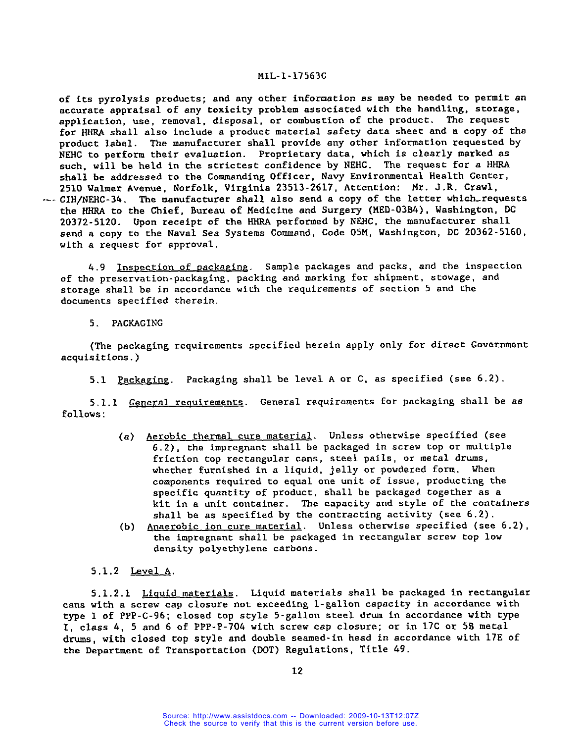of its pyrolysis products; and any other information as may be needed to permit an accurate appraisal of any toxicity problem associated with the handling, storage, application, use, removal, disposal, or combustion of the product. The request for HHRA shall also include a product material safety data sheet and a copy of the product label. The manufacturer shall provide any other information requested by NEHC to perform their evaluation. Proprietary data, which is clearly marked as such, will be held in the strictest confidence by NEHC. The request for a HHRA shall be addressed to the Commanding Officer, Navy Environmental Health Center, 2510 Walmer Avenue, Norfolk, Virginia 23513-2617, Attention: Mr. J .R. Crawl,  $\sim$  CIH/NEHC-34. The manufacturer shall also send a copy of the letter which requests the HHRA to the Chief, Bureau of Medicine and Surgery (MED-03B4) , Washington, DC 20372-5120. Upon receipt of the HHRA performed by NEHC, the manufacturer shall send a copy to the Naval Sea Systems Command, Code 05M, Washington, DC 20362-5160, with a request for approval.

4.9 Inspection of packaging. Sample packages and packs, and the inspection of the preservation-packaging, packing and marking for shipment, stowage, and storage shall be in accordance with the requirements of section 5 and the documents specified therein.

5. PACKAGING

(The packaging requirements specified herein apply only for direct Government acquisitions. )

5.1 Packaging. Packaging shall be level A or C, as specified (see 6.2).

5.1.1 General requirements. General requirements for packaging shall be as follows :

- (a) Aerobic thermal cure material. Unless otherwise specified (see 6.2), the impregnant shall be packaged in screw top or multiple friction top rectangular cans, steel pails, or metal drums, whether furnished in a liquid, jelly or powdered form. When components required to equal one unit of issue, producing the specific quantity of product, shall be packaged together as a kit in a unit container. The capacity and style of the containers shall be as specified by the contracting activity (see 6.2) .
- (b) Anaerobic ion cure material. Unless otherwise specified (see 6 .2), the impregnant shall be packaged in rectangular screw top low density polyethylene carbons.

## 5.1.2 Level A.

5.1.2.1 Liquid materials. Liquid materials shall be packaged in rectangular cans with a screw cap closure not exceeding 1-gallon capacity in accordance with type I of PPP-C-96; closed top style 5-gallon steel drum in accordance with type I, class 4, 5 and 6 of PPP-P-704 with screw cap closure; or in 17C or 5B metal drums, with closed top style and double seamed- in head in accordance with 17E of the Department of Transportation (DOT) Regulations, Title 69.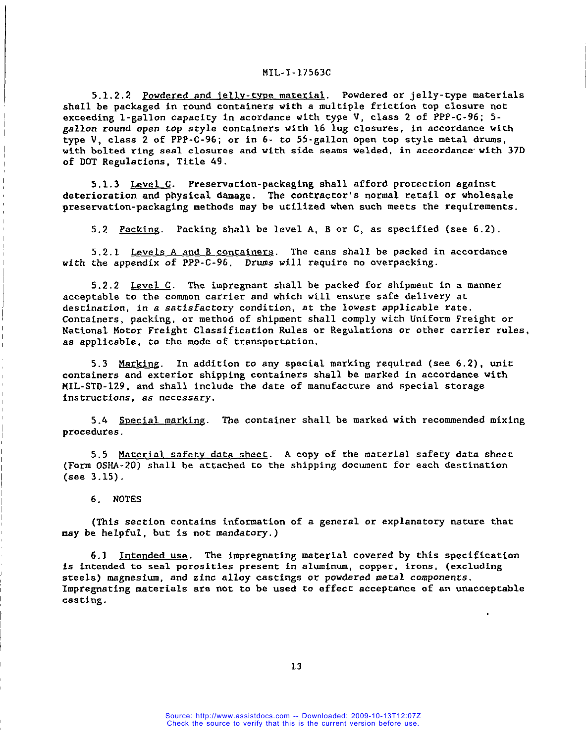# MIL-I-l7563c

5.1.2.2 Powdered and jelly-type material. Powdered or jelly-type materials shall be packaged in round containers with a multiple friction top closure not exceeding 1-gallon capacity in acordance with type V, class 2 of PPP-C-96; 5**gallon** round open top style containers with 16 lug closures, in accordance with type V, class 2 of PPP-C-96; or in 6- co 55-gallon open top style metal drums, with bolted ring seal closures and with side seams welded, in accordance' with 37D of DOT Regulations, Title 49.

5.1.3 Level  $C$ . Preservation-packaging shall afford protection against deterioration and physical damage. The contractor's normal retail or wholesale preservation-packaging methods may be utilized when such meets the requirements.

5.2 Packing. Packing shall be level A, B or C, as specified (see 6.2).

5.2.1 Levels A and B containers. The cans shall be packed in accordance with the appendix of PPP-C-96. Drums will require no overpacking.

5.2.2 Level  $C$ . The impregnant shall be packed for shipment in a manner acceptable to the common carrier and which will ensure safe delivery at destination, in a satisfactory condicion, at the lowest applicable rate. Containers, packing, or method of shipment shall comply with Uniform Freight or National Motor Freight Classification Rules or Regulations or other carrier rules, as applicable, to the mode of transportation.

5.3 Marking. In addition to any special marking required (see 6.2), unit containers and exterior shipping containers shall be marked in accordance with MIL-STD-129, and shall include the date of manufacture and special storage instructions, as necessary.

5.4 SDecial marking. The container shall be marked with recommended mixing procedures.

5.5 Material safecv data sheet. A copy of che material safety data sheet (Form OSRA-20) shall be attached to the shipping document for each destination (see 3.15) .

## 6. NOTES

I I

I

(This section contains information of a general or explanatory nature that may be helpful, but is not mandatory.)

6.1 Intended use. The impregnating material covered by this specification is intended to seal porosities present in aluminum, copper, irons, (excluding steels) magnesium, and zinc alloy castings or powdered metal components. Impregnating materials are not to be used to effect acceptance of an unacceptable Casting .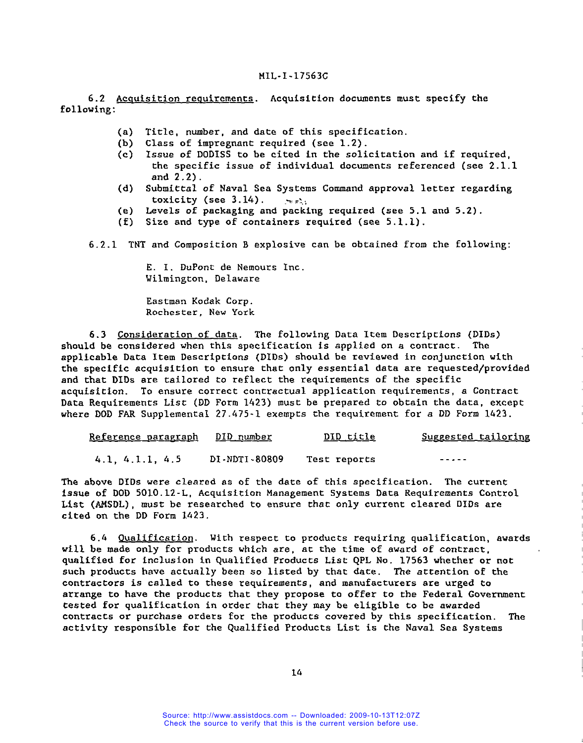6.2 Acquisition requirements. Acquisition documents must specify the following:

- (a) Title, number, and date of this specification.<br>(b) Class of impregnant required (see  $1.2$ ).
- Class of impregnant required (see 1.2).
- (c) Issue of DODISS to be cited in the solicitation and if required, the specific issue of individual documents referenced (see 2.1.1 and 2.2).
- (d) Submittal of Naval Sea Systems Command approval letter regarding toxicity (see  $3.14$ ).
- (e) Levels of packaging and packing required (see 5.1 and 5.2).
- (f) Size and type of containers required (see 5.1.1).

6.2.1 TNT and Composition B explosive can be obtained from the following:

E. 1. DuPont de Nemours Inc. Wilmington, Delaware

Eastman Kodak Corp. Rochester, New York

6.3 Consideration of data. The following Data Item Descriptions (DIDs) should be considered when this specification is applied on a contract. The applicable Data Item Descriptions (DIDs) should be reviewed in conjunction with the specific acquisition to ensure that only essential data are requested/provided and that DIDs are tailored co reflect the requirements of the specific acquisition. To ensure correct contractual application requirements, a Contract Data Requirements List (DD Form 1423) must be prepared to obtain the data, except where DOD FAR Supplemental 27.475-1 exempts the requirement for a DD Form 1423.

| Reference paragraph DID number |               | <u>DID title</u> | <u>Suggested tailoring</u> |
|--------------------------------|---------------|------------------|----------------------------|
| 4.1, 4.1.1, 4.5                | DI-NDTI-80809 | Test reports     | $- - - - - -$              |

The above DIDs were cleared as of the date of this specification. The current issue of DOD 5010.12-L, Acquisition Management Systems Oata Requirements Control List (AMSDL) , must be researched to ensure that only current cleared DIDs are cited on the DD Form 1423.

6.4 Qualification. With respect to products requiring qualification, awards will be made only for products which are, at the time of award of contract, qualified for inclusion in Qualified Products List QPL No. 17563 whether or not such products have actually been so listed by that date. The attention of the contractors is called to these requirements, and manufacturers are urged to arrange to have the products that they propose to offer to the Federal Government tested for qualification in order that they may be eligible to be awarded contracts or purchase orders for the products covered by this specification. activity responsible for the Qualified Products List is the Naval Sea Systems The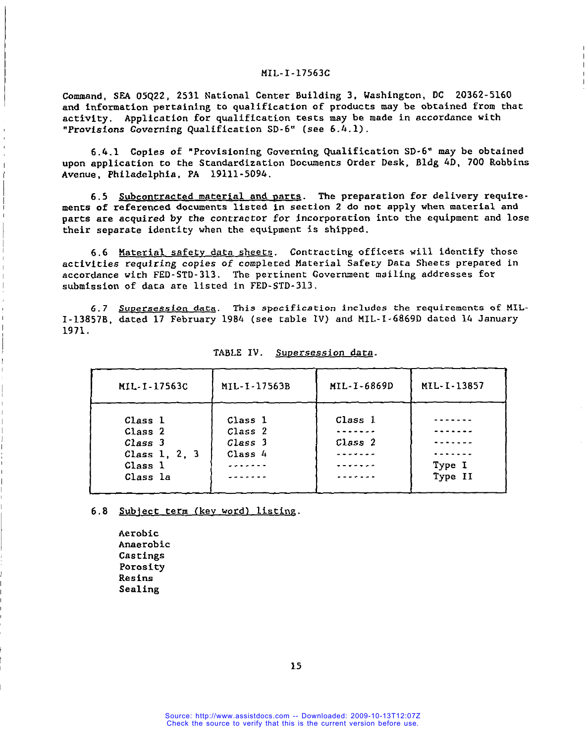Command, SRA 05Q22, 2531 National Center Building 3, Washington, DC 20362-5160 and information pertaining to qualification of products may be obtained from that activity. Application for qualification tests may be made in accordance with "Provisions Governing Qualification SD-6" (see 6.4.1).

6.4.1 Copies of "Provisioning Governing Qualification SD-6" may be obtained upon application co the Standardization Documents Order Desk, Bldg 4D, 700 Robbins Avenue, Philadelphia, PA 19111-5094.

6.5 Subcontracted material and parts. The preparation for delivery requirements of referenced documents listed in section 2 do not apply when material and parts are acquired by the contractor for incorporation into the equipment and lose their separate identity when the equipment is shipped.

6.6 Material safety data sheets. Contracting officers will identify those activities requiring copies of completed Material Safety Data Sheets prepared in accordance with FED-STD-313. The pertinent Government mailing addresses for submission of data are listed in FED-STD-313.

6.7 <u>Supersession data</u>. This specification includes the requirements of MIL-I-13857B, dated 17 February 1984 (see table Iv) and MIL-I-68690 dated 14 January 1971.

| MIL-I-17563C                                                          | MIL-I-17563B                             | MIL-I-6869D        | MIL-I-13857       |
|-----------------------------------------------------------------------|------------------------------------------|--------------------|-------------------|
| Class 1<br>Class 2<br>Class 3<br>Class 1, 2, 3<br>Class 1<br>Class la | Class 1<br>Class 2<br>Class 3<br>Class 4 | Class 1<br>Class 2 | Type I<br>Type II |

| TABLE IV. |  | Supersession data. |  |
|-----------|--|--------------------|--|
|-----------|--|--------------------|--|

6.8 Sublect term (kev word) listing.

Aerobic Anaerobic Castings Porosity Resins Sealing

I

I

I

I

I

 $\vert$ 

 $\mathbf{L}$ 

15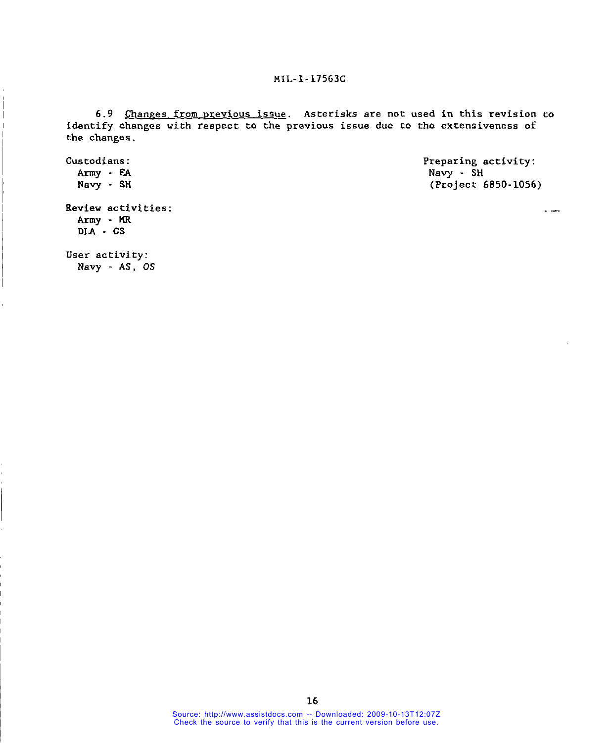6.9 Changes from previous issue. Asterisks are not used in this revision to identify changes with respect to the previous issue due to the extensiveness of the changes.

Custodians: Preparing activity: Navy - SH Army - EA Navy - SH. (Project 6850-1056) Review activities: Army - MR DLA - GS

User activity: Navy - AS, OS

**1**

Source: http://www.assistdocs.com -- Downloaded: 2009-10-13T12:07Z Check the source to verify that this is the current version before use.

 $\ddot{\phantom{a}}$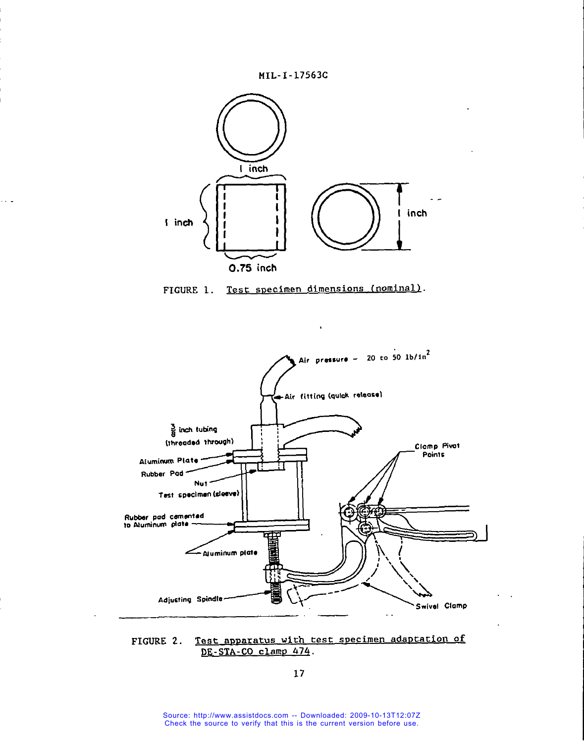



. . .

i







17

Source: http://www.assistdocs.com -- Downloaded: 2009-10-13T12:07Z Check the source to verify that this is the current version before use.